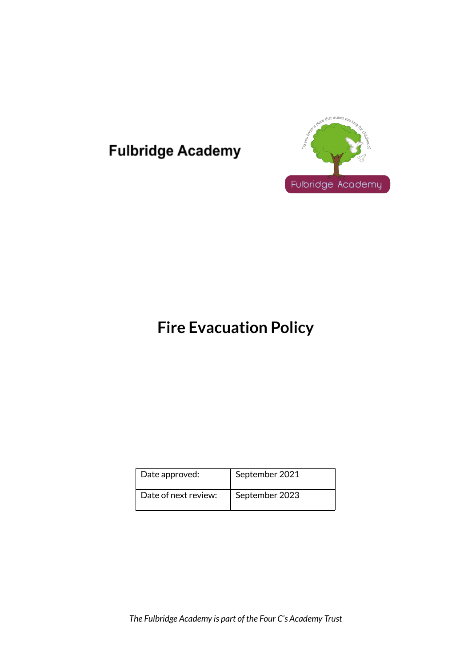



# **Fire Evacuation Policy**

| Date approved:       | September 2021 |
|----------------------|----------------|
| Date of next review: | September 2023 |

*The Fulbridge Academy is part of the Four C's Academy Trust*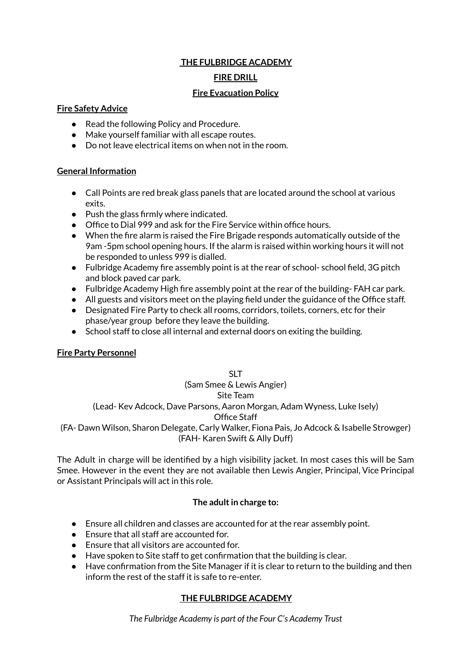# **THE FULBRIDGE ACADEMY**

# **FIRE DRILL**

### **Fire Evacuation Policy**

### **Fire Safety Advice**

- Read the following Policy and Procedure.
- Make yourself familiar with all escape routes.
- Do not leave electrical items on when not in the room.

### **General Information**

- Call Points are red break glass panels that are located around the school at various exits.
- Push the glass firmly where indicated.
- Office to Dial 999 and ask for the Fire Service within office hours.
- When the fire alarm is raised the Fire Brigade responds automatically outside of the 9am -5pm school opening hours. If the alarm is raised within working hours it will not be responded to unless 999 is dialled.
- Fulbridge Academy fire assembly point is at the rear of school- school field, 3G pitch and block paved car park.
- Fulbridge Academy High fire assembly point at the rear of the building- FAH car park.
- All guests and visitors meet on the playing field under the guidance of the Office staff.
- Designated Fire Party to check all rooms, corridors, toilets, corners, etc for their phase/year group before they leave the building.
- School staff to close all internal and external doors on exiting the building.

### **Fire Party Personnel**

#### SLT (Sam Smee & Lewis Angier) Site Team (Lead- Kev Adcock, Dave Parsons, Aaron Morgan, Adam Wyness, Luke Isely) Office Staff (FA- Dawn Wilson, Sharon Delegate, Carly Walker, Fiona Pais, Jo Adcock & Isabelle Strowger) (FAH- Karen Swift & Ally Duff)

The Adult in charge will be identified by a high visibility jacket. In most cases this will be Sam Smee. However in the event they are not available then Lewis Angier, Principal, Vice Principal or Assistant Principals will act in this role.

### **The adult in charge to:**

- Ensure all children and classes are accounted for at the rear assembly point.
- Ensure that all staff are accounted for.
- Ensure that all visitors are accounted for.
- Have spoken to Site staff to get confirmation that the building is clear.
- Have confirmation from the Site Manager if it is clear to return to the building and then inform the rest of the staff it is safe to re-enter.

# **THE FULBRIDGE ACADEMY**

*The Fulbridge Academy is part of the Four C's Academy Trust*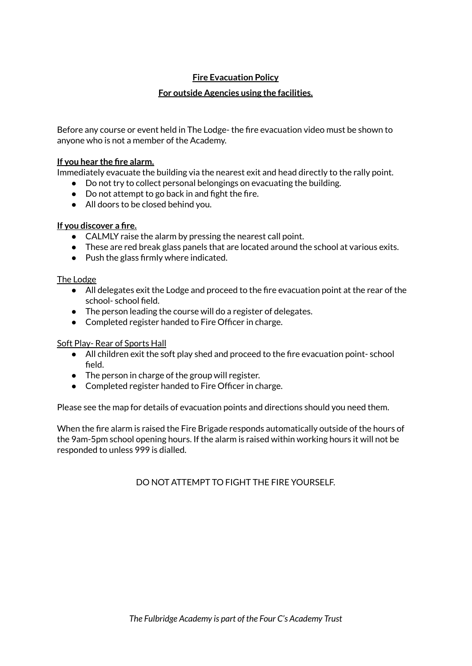# **Fire Evacuation Policy**

### **For outside Agencies using the facilities.**

Before any course or event held in The Lodge- the fire evacuation video must be shown to anyone who is not a member of the Academy.

#### **If you hear the fire alarm.**

Immediately evacuate the building via the nearest exit and head directly to the rally point.

- Do not try to collect personal belongings on evacuating the building.
- Do not attempt to go back in and fight the fire.
- All doors to be closed behind you.

#### **If you discover a fire.**

- CALMLY raise the alarm by pressing the nearest call point.
- These are red break glass panels that are located around the school at various exits.
- Push the glass firmly where indicated.

#### The Lodge

- All delegates exit the Lodge and proceed to the fire evacuation point at the rear of the school- school field.
- The person leading the course will do a register of delegates.
- Completed register handed to Fire Officer in charge.

#### Soft Play- Rear of Sports Hall

- All children exit the soft play shed and proceed to the fire evacuation point- school field.
- The person in charge of the group will register.
- Completed register handed to Fire Officer in charge.

Please see the map for details of evacuation points and directions should you need them.

When the fire alarm is raised the Fire Brigade responds automatically outside of the hours of the 9am-5pm school opening hours. If the alarm is raised within working hours it will not be responded to unless 999 is dialled.

#### DO NOT ATTEMPT TO FIGHT THE FIRE YOURSELF.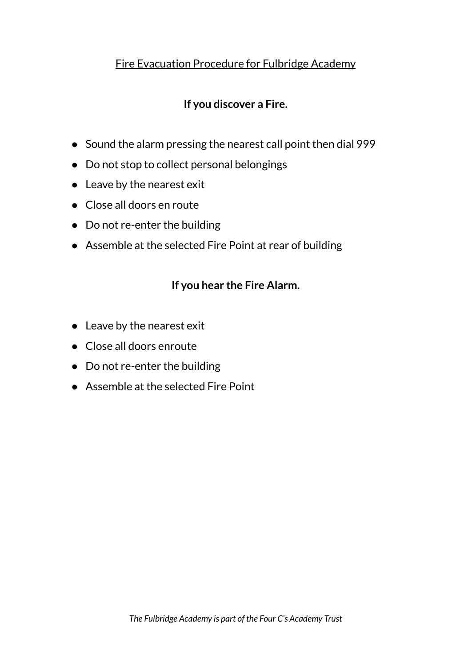# Fire Evacuation Procedure for Fulbridge Academy

# **If you discover a Fire.**

- Sound the alarm pressing the nearest call point then dial 999
- Do not stop to collect personal belongings
- $\bullet$  Leave by the nearest exit
- Close all doors en route
- Do not re-enter the building
- Assemble at the selected Fire Point at rear of building

# **If you hear the Fire Alarm.**

- $\bullet$  Leave by the nearest exit
- Close all doors enroute
- Do not re-enter the building
- Assemble at the selected Fire Point